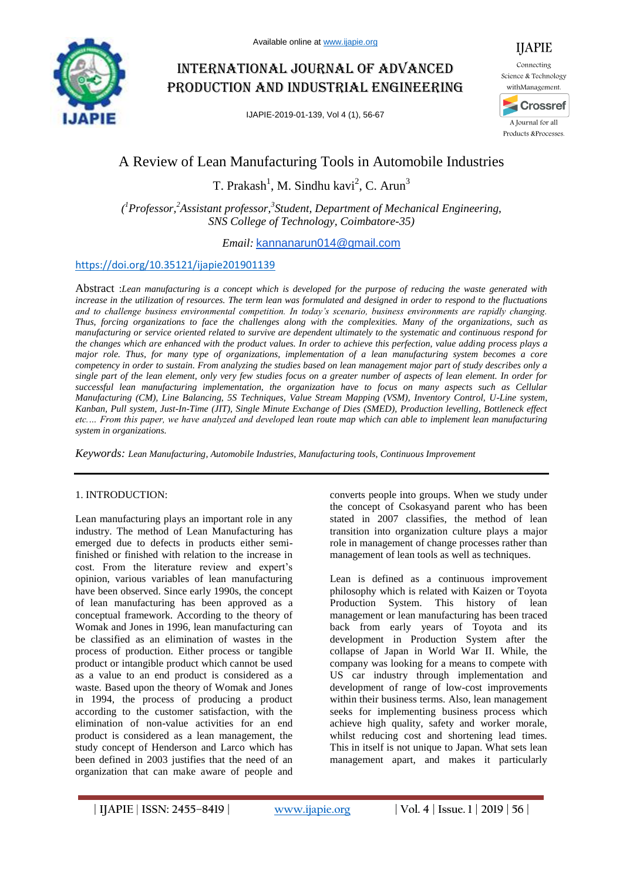

# International journal of advanced production and industrial engineering

IJAPIE-2019-01-139, Vol 4 (1), 56-67



## A Review of Lean Manufacturing Tools in Automobile Industries

T. Prakash<sup>1</sup>, M. Sindhu kavi<sup>2</sup>, C. Arun<sup>3</sup>

*( <sup>1</sup>Professor,<sup>2</sup>Assistant professor,<sup>3</sup> Student, Department of Mechanical Engineering, SNS College of Technology, Coimbatore-35)*

*Email:* kannanarun014@gmail.com

## https://doi.org/10.35121/ijapie201901139

Abstract :*Lean manufacturing is a concept which is developed for the purpose of reducing the waste generated with increase in the utilization of resources. The term lean was formulated and designed in order to respond to the fluctuations and to challenge business environmental competition. In today's scenario, business environments are rapidly changing. Thus, forcing organizations to face the challenges along with the complexities. Many of the organizations, such as manufacturing or service oriented related to survive are dependent ultimately to the systematic and continuous respond for the changes which are enhanced with the product values. In order to achieve this perfection, value adding process plays a major role. Thus, for many type of organizations, implementation of a lean manufacturing system becomes a core competency in order to sustain. From analyzing the studies based on lean management major part of study describes only a single part of the lean element, only very few studies focus on a greater number of aspects of lean element. In order for successful lean manufacturing implementation, the organization have to focus on many aspects such as Cellular Manufacturing (CM), Line Balancing, 5S Techniques, Value Stream Mapping (VSM), Inventory Control, U-Line system, Kanban, Pull system, Just-In-Time (JIT), Single Minute Exchange of Dies (SMED), Production levelling, Bottleneck effect etc.… From this paper, we have analyzed and developed lean route map which can able to implement lean manufacturing system in organizations.*

*Keywords: Lean Manufacturing, Automobile Industries, Manufacturing tools, Continuous Improvement*

#### 1. INTRODUCTION:

Lean manufacturing plays an important role in any industry. The method of Lean Manufacturing has emerged due to defects in products either semifinished or finished with relation to the increase in cost. From the literature review and expert's opinion, various variables of lean manufacturing have been observed. Since early 1990s, the concept of lean manufacturing has been approved as a conceptual framework. According to the theory of Womak and Jones in 1996, lean manufacturing can be classified as an elimination of wastes in the process of production. Either process or tangible product or intangible product which cannot be used as a value to an end product is considered as a waste. Based upon the theory of Womak and Jones in 1994, the process of producing a product according to the customer satisfaction, with the elimination of non-value activities for an end product is considered as a lean management, the study concept of Henderson and Larco which has been defined in 2003 justifies that the need of an organization that can make aware of people and

converts people into groups. When we study under the concept of Csokasyand parent who has been stated in 2007 classifies, the method of lean transition into organization culture plays a major role in management of change processes rather than management of lean tools as well as techniques.

Lean is defined as a continuous improvement philosophy which is related with Kaizen or Toyota Production System. This history of lean management or lean manufacturing has been traced back from early years of Toyota and its development in Production System after the collapse of Japan in World War II. While, the company was looking for a means to compete with US car industry through implementation and development of range of low-cost improvements within their business terms. Also, lean management seeks for implementing business process which achieve high quality, safety and worker morale, whilst reducing cost and shortening lead times. This in itself is not unique to Japan. What sets lean management apart, and makes it particularly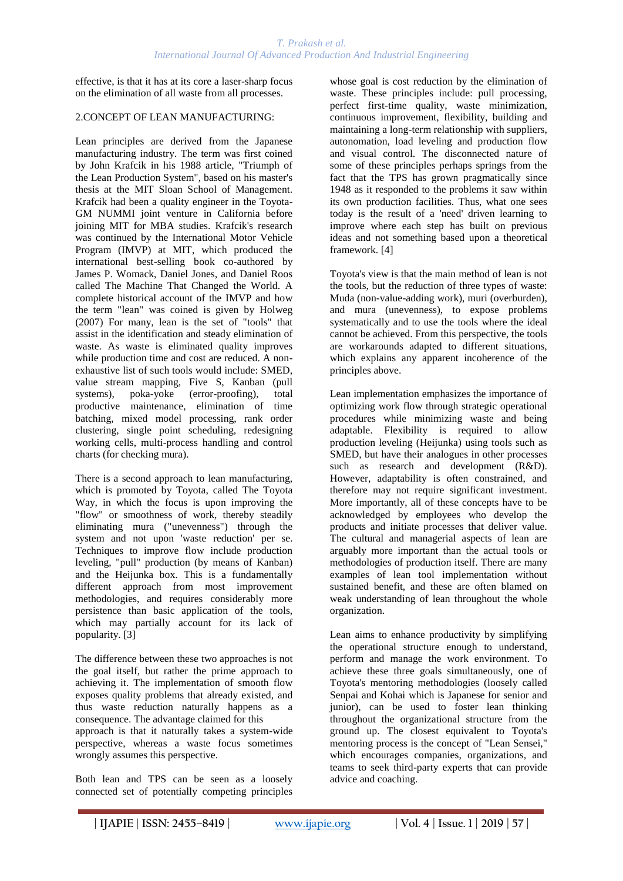effective, is that it has at its core a laser-sharp focus on the elimination of all waste from all processes.

## 2.CONCEPT OF LEAN MANUFACTURING:

Lean principles are derived from the Japanese manufacturing industry. The term was first coined by John Krafcik in his 1988 article, "Triumph of the Lean Production System", based on his master's thesis at the MIT Sloan School of Management. Krafcik had been a quality engineer in the Toyota-GM NUMMI joint venture in California before joining MIT for MBA studies. Krafcik's research was continued by the International Motor Vehicle Program (IMVP) at MIT, which produced the international best-selling book co-authored by James P. Womack, Daniel Jones, and Daniel Roos called The Machine That Changed the World. A complete historical account of the IMVP and how the term "lean" was coined is given by Holweg (2007) For many, lean is the set of "tools" that assist in the identification and steady elimination of waste. As waste is eliminated quality improves while production time and cost are reduced. A nonexhaustive list of such tools would include: SMED, value stream mapping, Five S, Kanban (pull systems), poka-yoke (error-proofing), total productive maintenance, elimination of time batching, mixed model processing, rank order clustering, single point scheduling, redesigning working cells, multi-process handling and control charts (for checking mura).

There is a second approach to lean manufacturing, which is promoted by Toyota, called The Toyota Way, in which the focus is upon improving the "flow" or smoothness of work, thereby steadily eliminating mura ("unevenness") through the system and not upon 'waste reduction' per se. Techniques to improve flow include production leveling, "pull" production (by means of Kanban) and the Heijunka box. This is a fundamentally different approach from most improvement methodologies, and requires considerably more persistence than basic application of the tools, which may partially account for its lack of popularity. [3]

The difference between these two approaches is not the goal itself, but rather the prime approach to achieving it. The implementation of smooth flow exposes quality problems that already existed, and thus waste reduction naturally happens as a consequence. The advantage claimed for this approach is that it naturally takes a system-wide perspective, whereas a waste focus sometimes wrongly assumes this perspective.

Both lean and TPS can be seen as a loosely connected set of potentially competing principles whose goal is cost reduction by the elimination of waste. These principles include: pull processing, perfect first-time quality, waste minimization, continuous improvement, flexibility, building and maintaining a long-term relationship with suppliers, autonomation, load leveling and production flow and visual control. The disconnected nature of some of these principles perhaps springs from the fact that the TPS has grown pragmatically since 1948 as it responded to the problems it saw within its own production facilities. Thus, what one sees today is the result of a 'need' driven learning to improve where each step has built on previous ideas and not something based upon a theoretical framework. [4]

Toyota's view is that the main method of lean is not the tools, but the reduction of three types of waste: Muda (non-value-adding work), muri (overburden), and mura (unevenness), to expose problems systematically and to use the tools where the ideal cannot be achieved. From this perspective, the tools are workarounds adapted to different situations, which explains any apparent incoherence of the principles above.

Lean implementation emphasizes the importance of optimizing work flow through strategic operational procedures while minimizing waste and being adaptable. Flexibility is required to allow production leveling (Heijunka) using tools such as SMED, but have their analogues in other processes such as research and development (R&D). However, adaptability is often constrained, and therefore may not require significant investment. More importantly, all of these concepts have to be acknowledged by employees who develop the products and initiate processes that deliver value. The cultural and managerial aspects of lean are arguably more important than the actual tools or methodologies of production itself. There are many examples of lean tool implementation without sustained benefit, and these are often blamed on weak understanding of lean throughout the whole organization.

Lean aims to enhance productivity by simplifying the operational structure enough to understand, perform and manage the work environment. To achieve these three goals simultaneously, one of Toyota's mentoring methodologies (loosely called Senpai and Kohai which is Japanese for senior and junior), can be used to foster lean thinking throughout the organizational structure from the ground up. The closest equivalent to Toyota's mentoring process is the concept of "Lean Sensei," which encourages companies, organizations, and teams to seek third-party experts that can provide advice and coaching.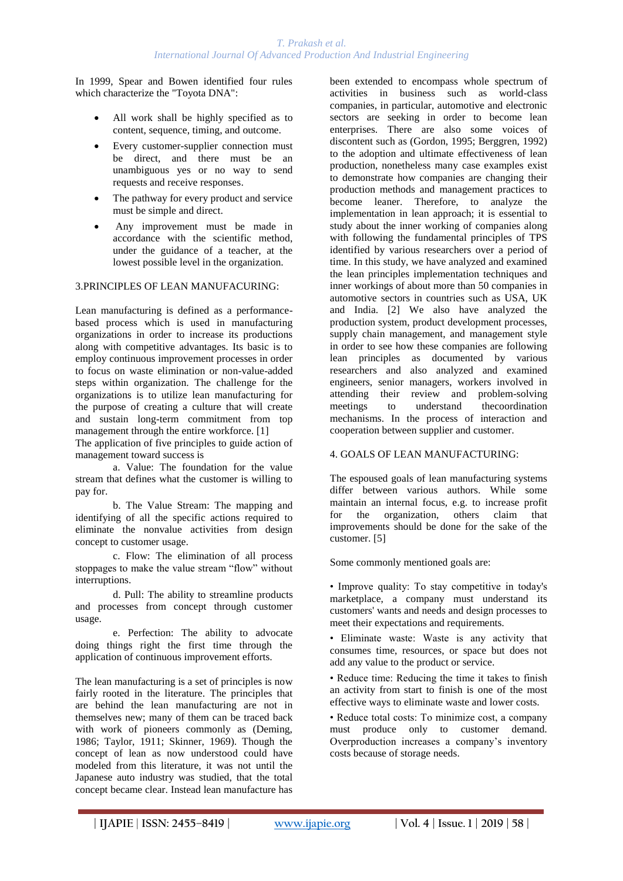In 1999, Spear and Bowen identified four rules which characterize the "Toyota DNA":

- All work shall be highly specified as to content, sequence, timing, and outcome.
- Every customer-supplier connection must be direct, and there must be an unambiguous yes or no way to send requests and receive responses.
- The pathway for every product and service must be simple and direct.
- Any improvement must be made in accordance with the scientific method, under the guidance of a teacher, at the lowest possible level in the organization.

## 3.PRINCIPLES OF LEAN MANUFACURING:

Lean manufacturing is defined as a performancebased process which is used in manufacturing organizations in order to increase its productions along with competitive advantages. Its basic is to employ continuous improvement processes in order to focus on waste elimination or non-value-added steps within organization. The challenge for the organizations is to utilize lean manufacturing for the purpose of creating a culture that will create and sustain long-term commitment from top management through the entire workforce. [1] The application of five principles to guide action of

management toward success is a. Value: The foundation for the value

stream that defines what the customer is willing to pay for.

b. The Value Stream: The mapping and identifying of all the specific actions required to eliminate the nonvalue activities from design concept to customer usage.

c. Flow: The elimination of all process stoppages to make the value stream "flow" without interruptions.

d. Pull: The ability to streamline products and processes from concept through customer usage.

e. Perfection: The ability to advocate doing things right the first time through the application of continuous improvement efforts.

The lean manufacturing is a set of principles is now fairly rooted in the literature. The principles that are behind the lean manufacturing are not in themselves new; many of them can be traced back with work of pioneers commonly as (Deming, 1986; Taylor, 1911; Skinner, 1969). Though the concept of lean as now understood could have modeled from this literature, it was not until the Japanese auto industry was studied, that the total concept became clear. Instead lean manufacture has

been extended to encompass whole spectrum of activities in business such as world-class companies, in particular, automotive and electronic sectors are seeking in order to become lean enterprises. There are also some voices of discontent such as (Gordon, 1995; Berggren, 1992) to the adoption and ultimate effectiveness of lean production, nonetheless many case examples exist to demonstrate how companies are changing their production methods and management practices to become leaner. Therefore, to analyze the implementation in lean approach; it is essential to study about the inner working of companies along with following the fundamental principles of TPS identified by various researchers over a period of time. In this study, we have analyzed and examined the lean principles implementation techniques and inner workings of about more than 50 companies in automotive sectors in countries such as USA, UK and India. [2] We also have analyzed the production system, product development processes, supply chain management, and management style in order to see how these companies are following lean principles as documented by various researchers and also analyzed and examined engineers, senior managers, workers involved in attending their review and problem-solving meetings to understand thecoordination mechanisms. In the process of interaction and cooperation between supplier and customer.

#### 4. GOALS OF LEAN MANUFACTURING:

The espoused goals of lean manufacturing systems differ between various authors. While some maintain an internal focus, e.g. to increase profit for the organization, others claim that improvements should be done for the sake of the customer. [5]

Some commonly mentioned goals are:

• Improve quality: To stay competitive in today's marketplace, a company must understand its customers' wants and needs and design processes to meet their expectations and requirements.

• Eliminate waste: Waste is any activity that consumes time, resources, or space but does not add any value to the product or service.

• Reduce time: Reducing the time it takes to finish an activity from start to finish is one of the most effective ways to eliminate waste and lower costs.

• Reduce total costs: To minimize cost, a company must produce only to customer demand. Overproduction increases a company's inventory costs because of storage needs.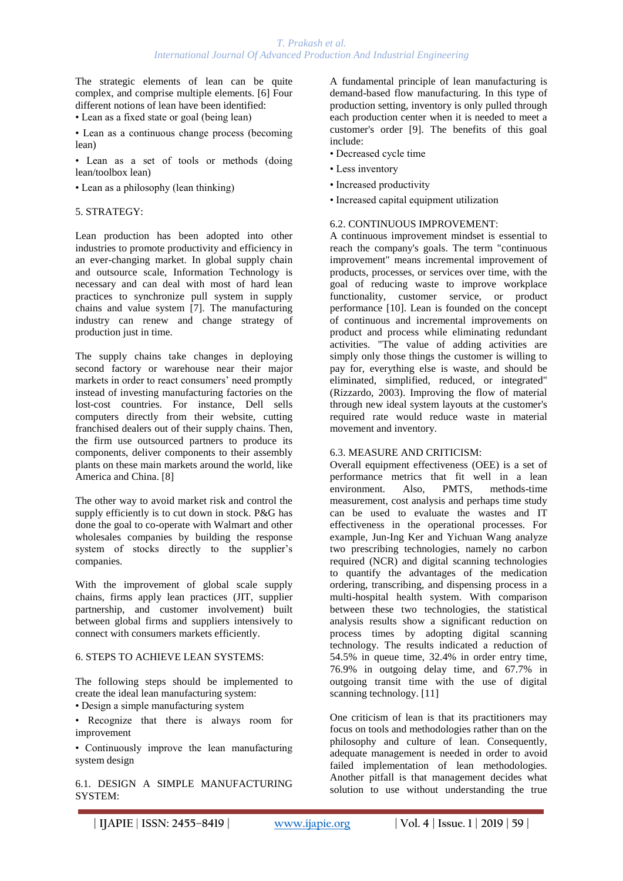The strategic elements of lean can be quite complex, and comprise multiple elements. [6] Four different notions of lean have been identified:

• Lean as a fixed state or goal (being lean)

• Lean as a continuous change process (becoming lean)

• Lean as a set of tools or methods (doing lean/toolbox lean)

• Lean as a philosophy (lean thinking)

#### 5. STRATEGY:

Lean production has been adopted into other industries to promote productivity and efficiency in an ever-changing market. In global supply chain and outsource scale, Information Technology is necessary and can deal with most of hard lean practices to synchronize pull system in supply chains and value system [7]. The manufacturing industry can renew and change strategy of production just in time.

The supply chains take changes in deploying second factory or warehouse near their major markets in order to react consumers' need promptly instead of investing manufacturing factories on the lost-cost countries. For instance, Dell sells computers directly from their website, cutting franchised dealers out of their supply chains. Then, the firm use outsourced partners to produce its components, deliver components to their assembly plants on these main markets around the world, like America and China. [8]

The other way to avoid market risk and control the supply efficiently is to cut down in stock. P&G has done the goal to co-operate with Walmart and other wholesales companies by building the response system of stocks directly to the supplier's companies.

With the improvement of global scale supply chains, firms apply lean practices (JIT, supplier partnership, and customer involvement) built between global firms and suppliers intensively to connect with consumers markets efficiently.

### 6. STEPS TO ACHIEVE LEAN SYSTEMS:

The following steps should be implemented to create the ideal lean manufacturing system:

• Design a simple manufacturing system

• Recognize that there is always room for improvement

• Continuously improve the lean manufacturing system design

6.1. DESIGN A SIMPLE MANUFACTURING SYSTEM:

A fundamental principle of lean manufacturing is demand-based flow manufacturing. In this type of production setting, inventory is only pulled through each production center when it is needed to meet a customer's order [9]. The benefits of this goal include:

- Decreased cycle time
- Less inventory
- Increased productivity
- Increased capital equipment utilization

#### 6.2. CONTINUOUS IMPROVEMENT:

A continuous improvement mindset is essential to reach the company's goals. The term "continuous improvement" means incremental improvement of products, processes, or services over time, with the goal of reducing waste to improve workplace functionality, customer service, or product performance [10]. Lean is founded on the concept of continuous and incremental improvements on product and process while eliminating redundant activities. "The value of adding activities are simply only those things the customer is willing to pay for, everything else is waste, and should be eliminated, simplified, reduced, or integrated" (Rizzardo, 2003). Improving the flow of material through new ideal system layouts at the customer's required rate would reduce waste in material movement and inventory.

#### 6.3. MEASURE AND CRITICISM:

Overall equipment effectiveness (OEE) is a set of performance metrics that fit well in a lean environment. Also, PMTS, methods-time measurement, cost analysis and perhaps time study can be used to evaluate the wastes and IT effectiveness in the operational processes. For example, Jun-Ing Ker and Yichuan Wang analyze two prescribing technologies, namely no carbon required (NCR) and digital scanning technologies to quantify the advantages of the medication ordering, transcribing, and dispensing process in a multi-hospital health system. With comparison between these two technologies, the statistical analysis results show a significant reduction on process times by adopting digital scanning technology. The results indicated a reduction of 54.5% in queue time, 32.4% in order entry time, 76.9% in outgoing delay time, and 67.7% in outgoing transit time with the use of digital scanning technology. [11]

One criticism of lean is that its practitioners may focus on tools and methodologies rather than on the philosophy and culture of lean. Consequently, adequate management is needed in order to avoid failed implementation of lean methodologies. Another pitfall is that management decides what solution to use without understanding the true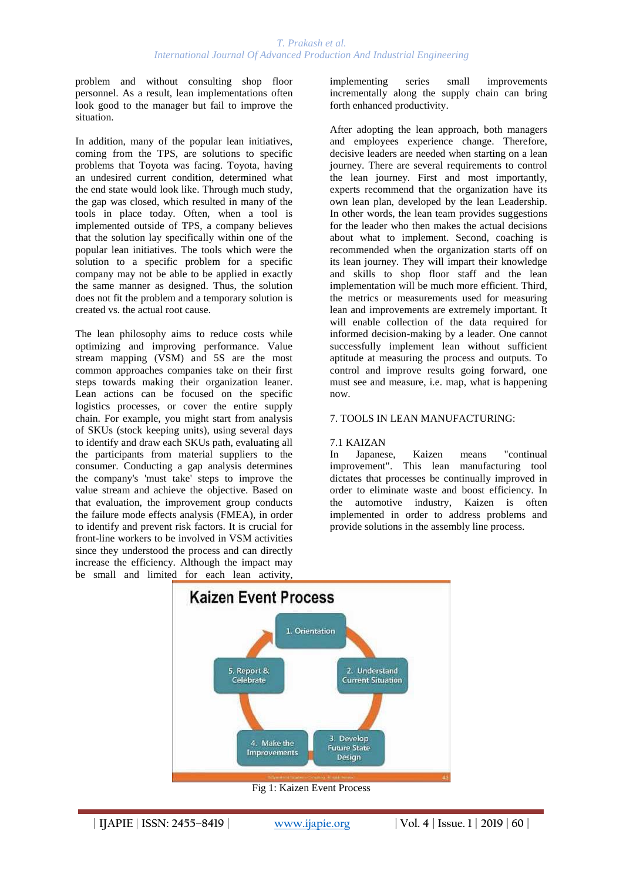problem and without consulting shop floor personnel. As a result, lean implementations often look good to the manager but fail to improve the situation.

In addition, many of the popular lean initiatives, coming from the TPS, are solutions to specific problems that Toyota was facing. Toyota, having an undesired current condition, determined what the end state would look like. Through much study, the gap was closed, which resulted in many of the tools in place today. Often, when a tool is implemented outside of TPS, a company believes that the solution lay specifically within one of the popular lean initiatives. The tools which were the solution to a specific problem for a specific company may not be able to be applied in exactly the same manner as designed. Thus, the solution does not fit the problem and a temporary solution is created vs. the actual root cause.

The lean philosophy aims to reduce costs while optimizing and improving performance. Value stream mapping (VSM) and 5S are the most common approaches companies take on their first steps towards making their organization leaner. Lean actions can be focused on the specific logistics processes, or cover the entire supply chain. For example, you might start from analysis of SKUs (stock keeping units), using several days to identify and draw each SKUs path, evaluating all the participants from material suppliers to the consumer. Conducting a gap analysis determines the company's 'must take' steps to improve the value stream and achieve the objective. Based on that evaluation, the improvement group conducts the failure mode effects analysis (FMEA), in order to identify and prevent risk factors. It is crucial for front-line workers to be involved in VSM activities since they understood the process and can directly increase the efficiency. Although the impact may be small and limited for each lean activity,

implementing series small improvements incrementally along the supply chain can bring forth enhanced productivity.

After adopting the lean approach, both managers and employees experience change. Therefore, decisive leaders are needed when starting on a lean journey. There are several requirements to control the lean journey. First and most importantly, experts recommend that the organization have its own lean plan, developed by the lean Leadership. In other words, the lean team provides suggestions for the leader who then makes the actual decisions about what to implement. Second, coaching is recommended when the organization starts off on its lean journey. They will impart their knowledge and skills to shop floor staff and the lean implementation will be much more efficient. Third, the metrics or measurements used for measuring lean and improvements are extremely important. It will enable collection of the data required for informed decision-making by a leader. One cannot successfully implement lean without sufficient aptitude at measuring the process and outputs. To control and improve results going forward, one must see and measure, i.e. map, what is happening now.

#### 7. TOOLS IN LEAN MANUFACTURING:

#### 7.1 KAIZAN

In Japanese, Kaizen means "continual improvement". This lean manufacturing tool dictates that processes be continually improved in order to eliminate waste and boost efficiency. In the automotive industry, Kaizen is often implemented in order to address problems and provide solutions in the assembly line process.



Fig 1: Kaizen Event Process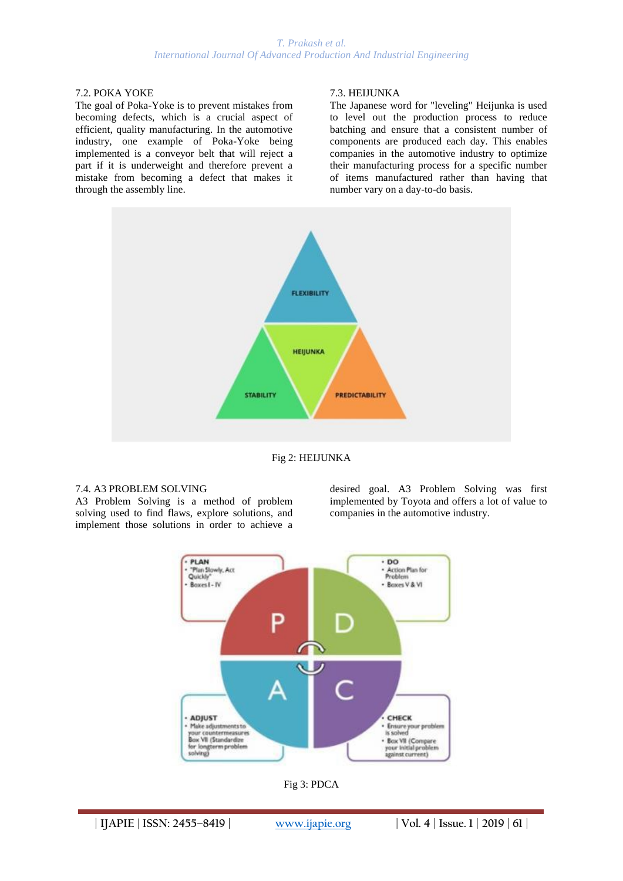## 7.2. POKA YOKE

The goal of Poka-Yoke is to prevent mistakes from becoming defects, which is a crucial aspect of efficient, quality manufacturing. In the automotive industry, one example of Poka-Yoke being implemented is a conveyor belt that will reject a part if it is underweight and therefore prevent a mistake from becoming a defect that makes it through the assembly line.

## 7.3. HEIJUNKA

The Japanese word for "leveling" Heijunka is used to level out the production process to reduce batching and ensure that a consistent number of components are produced each day. This enables companies in the automotive industry to optimize their manufacturing process for a specific number of items manufactured rather than having that number vary on a day-to-do basis.



Fig 2: HEIJUNKA

#### 7.4. A3 PROBLEM SOLVING

A3 Problem Solving is a method of problem solving used to find flaws, explore solutions, and implement those solutions in order to achieve a desired goal. A3 Problem Solving was first implemented by Toyota and offers a lot of value to companies in the automotive industry.



Fig 3: PDCA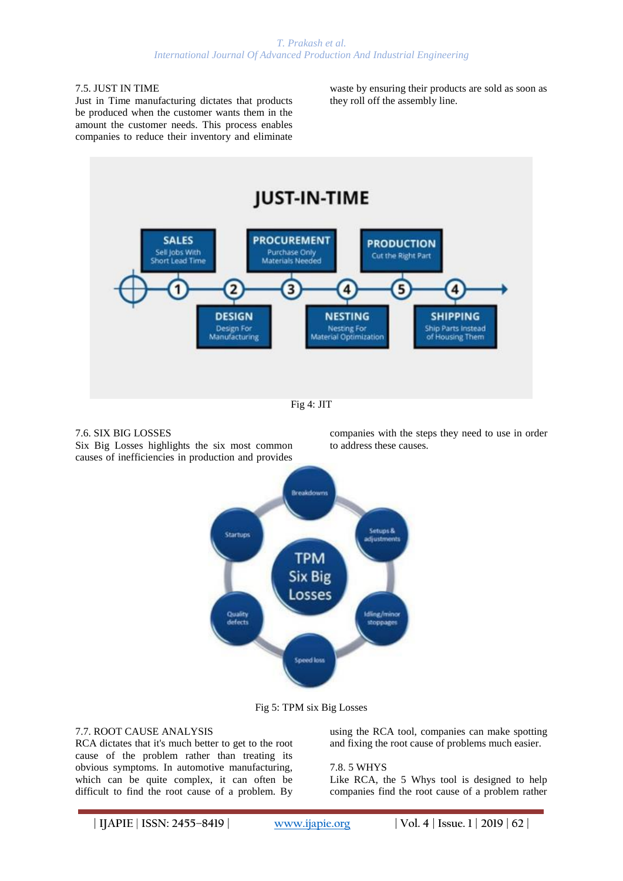## 7.5. JUST IN TIME

Just in Time manufacturing dictates that products be produced when the customer wants them in the amount the customer needs. This process enables companies to reduce their inventory and eliminate

waste by ensuring their products are sold as soon as they roll off the assembly line.



7.6. SIX BIG LOSSES

Six Big Losses highlights the six most common causes of inefficiencies in production and provides

companies with the steps they need to use in order to address these causes.



Fig 5: TPM six Big Losses

#### 7.7. ROOT CAUSE ANALYSIS

RCA dictates that it's much better to get to the root cause of the problem rather than treating its obvious symptoms. In automotive manufacturing, which can be quite complex, it can often be difficult to find the root cause of a problem. By

using the RCA tool, companies can make spotting and fixing the root cause of problems much easier.

#### 7.8. 5 WHYS

Like RCA, the 5 Whys tool is designed to help companies find the root cause of a problem rather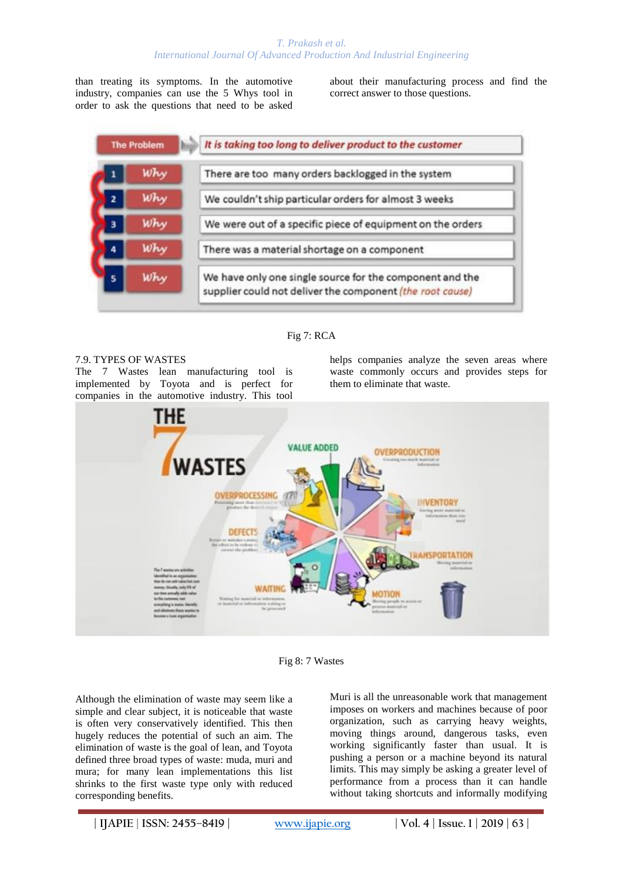than treating its symptoms. In the automotive industry, companies can use the 5 Whys tool in order to ask the questions that need to be asked

about their manufacturing process and find the correct answer to those questions.

| <b>The Problem</b> |     | It is taking too long to deliver product to the customer                                                              |
|--------------------|-----|-----------------------------------------------------------------------------------------------------------------------|
|                    | Why | There are too many orders backlogged in the system                                                                    |
| $\overline{2}$     | Why | We couldn't ship particular orders for almost 3 weeks                                                                 |
| 3                  | Why | We were out of a specific piece of equipment on the orders                                                            |
|                    | Why | There was a material shortage on a component                                                                          |
|                    | Why | We have only one single source for the component and the<br>supplier could not deliver the component (the root cause) |

#### Fig 7: RCA

#### 7.9. TYPES OF WASTES

The 7 Wastes lean manufacturing tool is implemented by Toyota and is perfect for companies in the automotive industry. This tool

helps companies analyze the seven areas where waste commonly occurs and provides steps for them to eliminate that waste.





Although the elimination of waste may seem like a simple and clear subject, it is noticeable that waste is often very conservatively identified. This then hugely reduces the potential of such an aim. The elimination of waste is the goal of lean, and Toyota defined three broad types of waste: muda, muri and mura; for many lean implementations this list shrinks to the first waste type only with reduced corresponding benefits.

Muri is all the unreasonable work that management imposes on workers and machines because of poor organization, such as carrying heavy weights, moving things around, dangerous tasks, even working significantly faster than usual. It is pushing a person or a machine beyond its natural limits. This may simply be asking a greater level of performance from a process than it can handle without taking shortcuts and informally modifying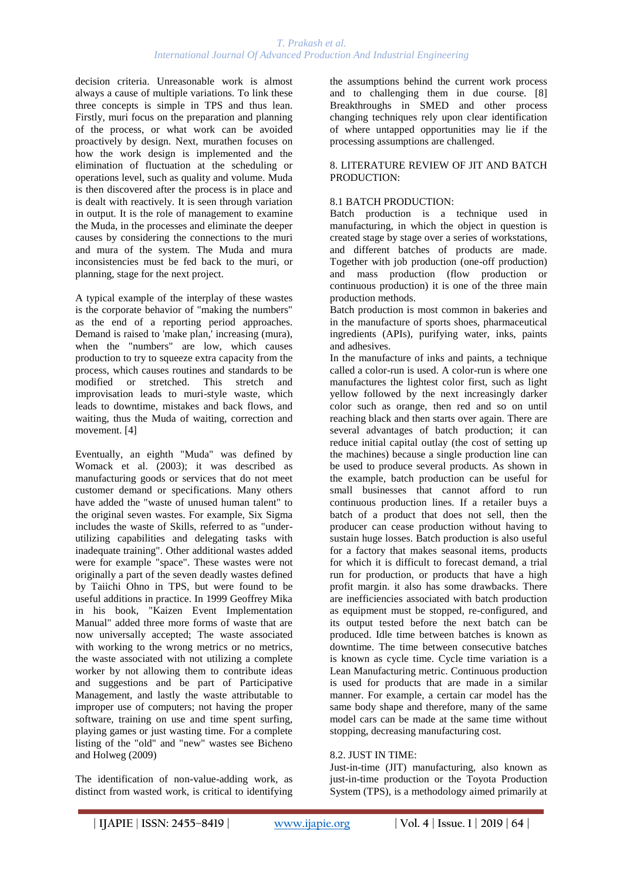decision criteria. Unreasonable work is almost always a cause of multiple variations. To link these three concepts is simple in TPS and thus lean. Firstly, muri focus on the preparation and planning of the process, or what work can be avoided proactively by design. Next, murathen focuses on how the work design is implemented and the elimination of fluctuation at the scheduling or operations level, such as quality and volume. Muda is then discovered after the process is in place and is dealt with reactively. It is seen through variation in output. It is the role of management to examine the Muda, in the processes and eliminate the deeper causes by considering the connections to the muri and mura of the system. The Muda and mura inconsistencies must be fed back to the muri, or planning, stage for the next project.

A typical example of the interplay of these wastes is the corporate behavior of "making the numbers" as the end of a reporting period approaches. Demand is raised to 'make plan,' increasing (mura), when the "numbers" are low, which causes production to try to squeeze extra capacity from the process, which causes routines and standards to be modified or stretched. This stretch and improvisation leads to muri-style waste, which leads to downtime, mistakes and back flows, and waiting, thus the Muda of waiting, correction and movement. [4]

Eventually, an eighth "Muda" was defined by Womack et al. (2003); it was described as manufacturing goods or services that do not meet customer demand or specifications. Many others have added the "waste of unused human talent" to the original seven wastes. For example, Six Sigma includes the waste of Skills, referred to as "underutilizing capabilities and delegating tasks with inadequate training". Other additional wastes added were for example "space". These wastes were not originally a part of the seven deadly wastes defined by Taiichi Ohno in TPS, but were found to be useful additions in practice. In 1999 Geoffrey Mika in his book, "Kaizen Event Implementation Manual" added three more forms of waste that are now universally accepted; The waste associated with working to the wrong metrics or no metrics, the waste associated with not utilizing a complete worker by not allowing them to contribute ideas and suggestions and be part of Participative Management, and lastly the waste attributable to improper use of computers; not having the proper software, training on use and time spent surfing, playing games or just wasting time. For a complete listing of the "old" and "new" wastes see Bicheno and Holweg (2009)

The identification of non-value-adding work, as distinct from wasted work, is critical to identifying

the assumptions behind the current work process and to challenging them in due course. [8] Breakthroughs in SMED and other process changing techniques rely upon clear identification of where untapped opportunities may lie if the processing assumptions are challenged.

## 8. LITERATURE REVIEW OF JIT AND BATCH PRODUCTION:

## 8.1 BATCH PRODUCTION:

Batch production is a technique used in manufacturing, in which the object in question is created stage by stage over a series of workstations, and different batches of products are made. Together with job production (one-off production) and mass production (flow production or continuous production) it is one of the three main production methods.

Batch production is most common in bakeries and in the manufacture of sports shoes, pharmaceutical ingredients (APIs), purifying water, inks, paints and adhesives.

In the manufacture of inks and paints, a technique called a color-run is used. A color-run is where one manufactures the lightest color first, such as light yellow followed by the next increasingly darker color such as orange, then red and so on until reaching black and then starts over again. There are several advantages of batch production; it can reduce initial capital outlay (the cost of setting up the machines) because a single production line can be used to produce several products. As shown in the example, batch production can be useful for small businesses that cannot afford to run continuous production lines. If a retailer buys a batch of a product that does not sell, then the producer can cease production without having to sustain huge losses. Batch production is also useful for a factory that makes seasonal items, products for which it is difficult to forecast demand, a trial run for production, or products that have a high profit margin. it also has some drawbacks. There are inefficiencies associated with batch production as equipment must be stopped, re-configured, and its output tested before the next batch can be produced. Idle time between batches is known as downtime. The time between consecutive batches is known as cycle time. Cycle time variation is a Lean Manufacturing metric. Continuous production is used for products that are made in a similar manner. For example, a certain car model has the same body shape and therefore, many of the same model cars can be made at the same time without stopping, decreasing manufacturing cost.

#### 8.2. JUST IN TIME:

Just-in-time (JIT) manufacturing, also known as just-in-time production or the Toyota Production System (TPS), is a methodology aimed primarily at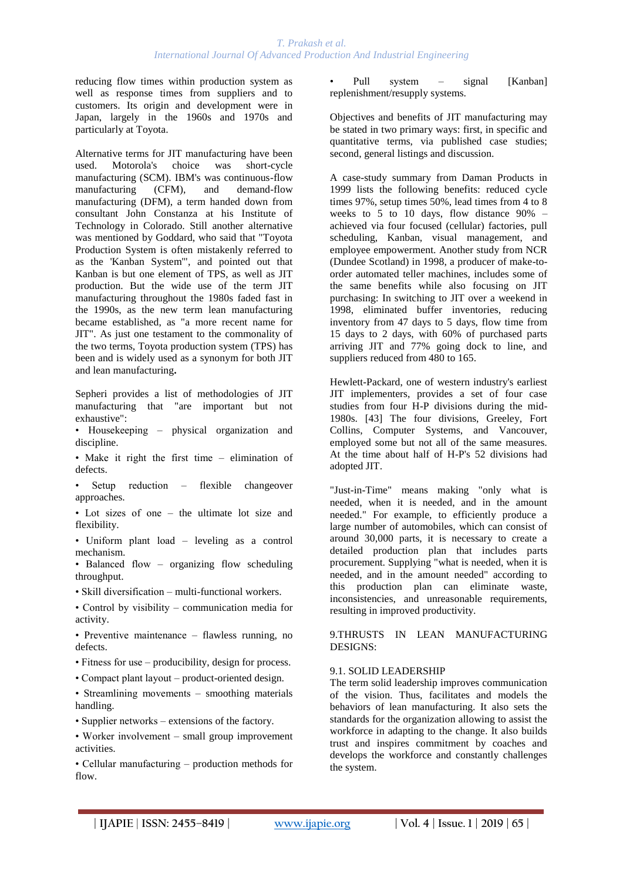reducing flow times within production system as well as response times from suppliers and to customers. Its origin and development were in Japan, largely in the 1960s and 1970s and particularly at Toyota.

Alternative terms for JIT manufacturing have been used. Motorola's choice was short-cycle manufacturing (SCM). IBM's was continuous-flow manufacturing (CFM), and demand-flow manufacturing (DFM), a term handed down from consultant John Constanza at his Institute of Technology in Colorado. Still another alternative was mentioned by Goddard, who said that "Toyota Production System is often mistakenly referred to as the 'Kanban System'", and pointed out that Kanban is but one element of TPS, as well as JIT production. But the wide use of the term JIT manufacturing throughout the 1980s faded fast in the 1990s, as the new term lean manufacturing became established, as "a more recent name for JIT". As just one testament to the commonality of the two terms, Toyota production system (TPS) has been and is widely used as a synonym for both JIT and lean manufacturing**.** 

Sepheri provides a list of methodologies of JIT manufacturing that "are important but not exhaustive":

• Housekeeping – physical organization and discipline.

• Make it right the first time – elimination of defects.

• Setup reduction – flexible changeover approaches.

• Lot sizes of one – the ultimate lot size and flexibility.

• Uniform plant load – leveling as a control mechanism.

• Balanced flow – organizing flow scheduling throughput.

• Skill diversification – multi-functional workers.

• Control by visibility – communication media for activity.

• Preventive maintenance – flawless running, no defects.

- Fitness for use producibility, design for process.
- Compact plant layout product-oriented design.

• Streamlining movements – smoothing materials handling.

• Supplier networks – extensions of the factory.

• Worker involvement – small group improvement activities.

• Cellular manufacturing – production methods for flow.

Pull system – signal [Kanban] replenishment/resupply systems.

Objectives and benefits of JIT manufacturing may be stated in two primary ways: first, in specific and quantitative terms, via published case studies; second, general listings and discussion.

A case-study summary from Daman Products in 1999 lists the following benefits: reduced cycle times 97%, setup times 50%, lead times from 4 to 8 weeks to 5 to 10 days, flow distance  $90\%$  – achieved via four focused (cellular) factories, pull scheduling, Kanban, visual management, and employee empowerment. Another study from NCR (Dundee Scotland) in 1998, a producer of make-toorder automated teller machines, includes some of the same benefits while also focusing on JIT purchasing: In switching to JIT over a weekend in 1998, eliminated buffer inventories, reducing inventory from 47 days to 5 days, flow time from 15 days to 2 days, with 60% of purchased parts arriving JIT and 77% going dock to line, and suppliers reduced from 480 to 165.

Hewlett-Packard, one of western industry's earliest JIT implementers, provides a set of four case studies from four H-P divisions during the mid-1980s. [43] The four divisions, Greeley, Fort Collins, Computer Systems, and Vancouver, employed some but not all of the same measures. At the time about half of H-P's 52 divisions had adopted JIT.

"Just-in-Time" means making "only what is needed, when it is needed, and in the amount needed." For example, to efficiently produce a large number of automobiles, which can consist of around 30,000 parts, it is necessary to create a detailed production plan that includes parts procurement. Supplying "what is needed, when it is needed, and in the amount needed" according to this production plan can eliminate waste, inconsistencies, and unreasonable requirements, resulting in improved productivity.

9.THRUSTS IN LEAN MANUFACTURING DESIGNS:

#### 9.1. SOLID LEADERSHIP

The term solid leadership improves communication of the vision. Thus, facilitates and models the behaviors of lean manufacturing. It also sets the standards for the organization allowing to assist the workforce in adapting to the change. It also builds trust and inspires commitment by coaches and develops the workforce and constantly challenges the system.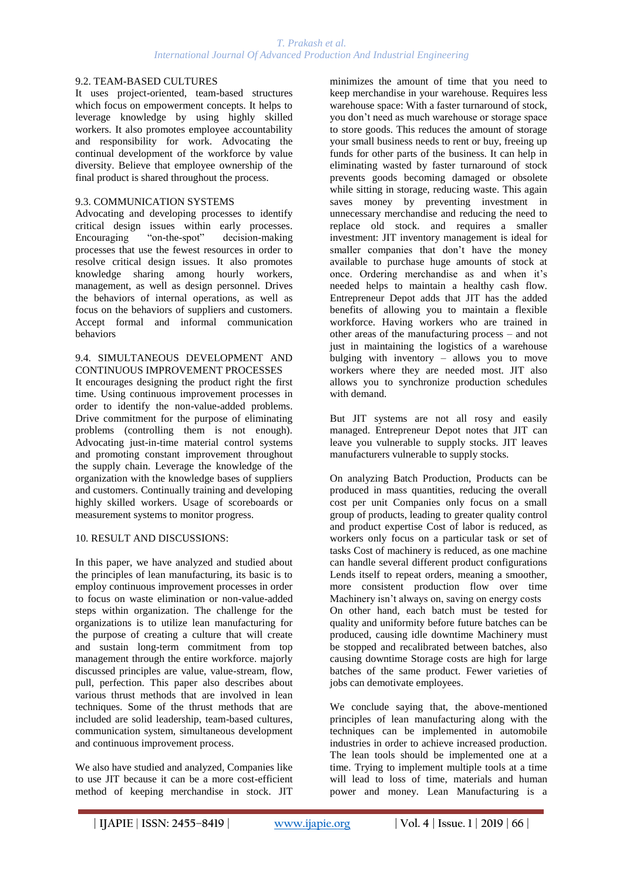## 9.2. TEAM-BASED CULTURES

It uses project-oriented, team-based structures which focus on empowerment concepts. It helps to leverage knowledge by using highly skilled workers. It also promotes employee accountability and responsibility for work. Advocating the continual development of the workforce by value diversity. Believe that employee ownership of the final product is shared throughout the process.

#### 9.3. COMMUNICATION SYSTEMS

Advocating and developing processes to identify critical design issues within early processes. Encouraging "on-the-spot" decision-making processes that use the fewest resources in order to resolve critical design issues. It also promotes knowledge sharing among hourly workers, management, as well as design personnel. Drives the behaviors of internal operations, as well as focus on the behaviors of suppliers and customers. Accept formal and informal communication behaviors

#### 9.4. SIMULTANEOUS DEVELOPMENT AND CONTINUOUS IMPROVEMENT PROCESSES

It encourages designing the product right the first time. Using continuous improvement processes in order to identify the non-value-added problems. Drive commitment for the purpose of eliminating problems (controlling them is not enough). Advocating just-in-time material control systems and promoting constant improvement throughout the supply chain. Leverage the knowledge of the organization with the knowledge bases of suppliers and customers. Continually training and developing highly skilled workers. Usage of scoreboards or measurement systems to monitor progress.

## 10. RESULT AND DISCUSSIONS:

In this paper, we have analyzed and studied about the principles of lean manufacturing, its basic is to employ continuous improvement processes in order to focus on waste elimination or non-value-added steps within organization. The challenge for the organizations is to utilize lean manufacturing for the purpose of creating a culture that will create and sustain long-term commitment from top management through the entire workforce. majorly discussed principles are value, value-stream, flow, pull, perfection. This paper also describes about various thrust methods that are involved in lean techniques. Some of the thrust methods that are included are solid leadership, team-based cultures, communication system, simultaneous development and continuous improvement process.

We also have studied and analyzed, Companies like to use JIT because it can be a more cost-efficient method of keeping merchandise in stock. JIT

minimizes the amount of time that you need to keep merchandise in your warehouse. Requires less warehouse space: With a faster turnaround of stock, you don't need as much warehouse or storage space to store goods. This reduces the amount of storage your small business needs to rent or buy, freeing up funds for other parts of the business. It can help in eliminating wasted by faster turnaround of stock prevents goods becoming damaged or obsolete while sitting in storage, reducing waste. This again saves money by preventing investment in unnecessary merchandise and reducing the need to replace old stock. and requires a smaller investment: JIT inventory management is ideal for smaller companies that don't have the money available to purchase huge amounts of stock at once. Ordering merchandise as and when it's needed helps to maintain a healthy cash flow. Entrepreneur Depot adds that JIT has the added benefits of allowing you to maintain a flexible workforce. Having workers who are trained in other areas of the manufacturing process – and not just in maintaining the logistics of a warehouse bulging with inventory – allows you to move workers where they are needed most. JIT also allows you to synchronize production schedules with demand.

But JIT systems are not all rosy and easily managed. Entrepreneur Depot notes that JIT can leave you vulnerable to supply stocks. JIT leaves manufacturers vulnerable to supply stocks.

On analyzing Batch Production, Products can be produced in mass quantities, reducing the overall cost per unit Companies only focus on a small group of products, leading to greater quality control and product expertise Cost of labor is reduced, as workers only focus on a particular task or set of tasks Cost of machinery is reduced, as one machine can handle several different product configurations Lends itself to repeat orders, meaning a smoother, more consistent production flow over time Machinery isn't always on, saving on energy costs On other hand, each batch must be tested for quality and uniformity before future batches can be produced, causing idle downtime Machinery must be stopped and recalibrated between batches, also causing downtime Storage costs are high for large batches of the same product. Fewer varieties of jobs can demotivate employees.

We conclude saying that, the above-mentioned principles of lean manufacturing along with the techniques can be implemented in automobile industries in order to achieve increased production. The lean tools should be implemented one at a time. Trying to implement multiple tools at a time will lead to loss of time, materials and human power and money. Lean Manufacturing is a